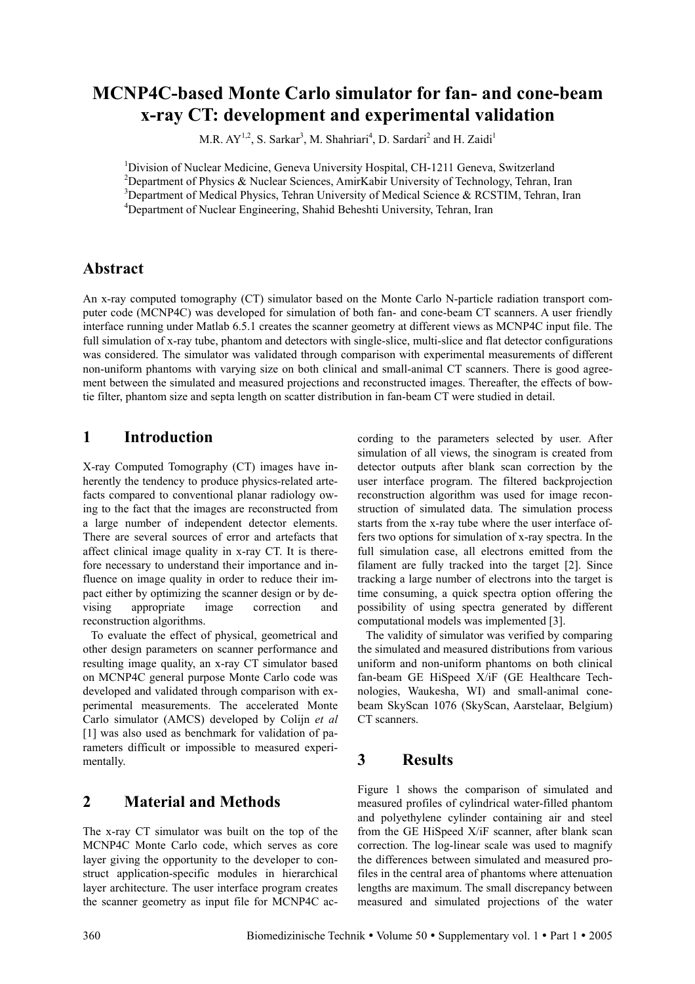# **MCNP4C-based Monte Carlo simulator for fan- and cone-beam x-ray CT: development and experimental validation**

M.R.  $AY^{1,2}$ , S. Sarkar<sup>3</sup>, M. Shahriari<sup>4</sup>, D. Sardari<sup>2</sup> and H. Zaidi<sup>1</sup>

<sup>1</sup>Division of Nuclear Medicine, Geneva University Hospital, CH-1211 Geneva, Switzerland <sup>2</sup>Department of Physics & Nuclear Sciences, AmirKabir University of Technology, Tehran, Iran <sup>3</sup>Department of Medical Physics, Tehran University of Medical Science & RCSTIM, Tehran, Iran 4 Department of Nuclear Engineering, Shahid Beheshti University, Tehran, Iran

#### **Abstract**

An x-ray computed tomography (CT) simulator based on the Monte Carlo N-particle radiation transport computer code (MCNP4C) was developed for simulation of both fan- and cone-beam CT scanners. A user friendly interface running under Matlab 6.5.1 creates the scanner geometry at different views as MCNP4C input file. The full simulation of x-ray tube, phantom and detectors with single-slice, multi-slice and flat detector configurations was considered. The simulator was validated through comparison with experimental measurements of different non-uniform phantoms with varying size on both clinical and small-animal CT scanners. There is good agreement between the simulated and measured projections and reconstructed images. Thereafter, the effects of bowtie filter, phantom size and septa length on scatter distribution in fan-beam CT were studied in detail.

## **1 Introduction**

X-ray Computed Tomography (CT) images have inherently the tendency to produce physics-related artefacts compared to conventional planar radiology owing to the fact that the images are reconstructed from a large number of independent detector elements. There are several sources of error and artefacts that affect clinical image quality in x-ray CT. It is therefore necessary to understand their importance and influence on image quality in order to reduce their impact either by optimizing the scanner design or by devising appropriate image correction and reconstruction algorithms.

To evaluate the effect of physical, geometrical and other design parameters on scanner performance and resulting image quality, an x-ray CT simulator based on MCNP4C general purpose Monte Carlo code was developed and validated through comparison with experimental measurements. The accelerated Monte Carlo simulator (AMCS) developed by Colijn *et al* [1] was also used as benchmark for validation of parameters difficult or impossible to measured experimentally.

## **2 Material and Methods**

The x-ray CT simulator was built on the top of the MCNP4C Monte Carlo code, which serves as core layer giving the opportunity to the developer to construct application-specific modules in hierarchical layer architecture. The user interface program creates the scanner geometry as input file for MCNP4C according to the parameters selected by user. After simulation of all views, the sinogram is created from detector outputs after blank scan correction by the user interface program. The filtered backprojection reconstruction algorithm was used for image reconstruction of simulated data. The simulation process starts from the x-ray tube where the user interface offers two options for simulation of x-ray spectra. In the full simulation case, all electrons emitted from the filament are fully tracked into the target [2]. Since tracking a large number of electrons into the target is time consuming, a quick spectra option offering the possibility of using spectra generated by different computational models was implemented [3].

The validity of simulator was verified by comparing the simulated and measured distributions from various uniform and non-uniform phantoms on both clinical fan-beam GE HiSpeed X/iF (GE Healthcare Technologies, Waukesha, WI) and small-animal conebeam SkyScan 1076 (SkyScan, Aarstelaar, Belgium) CT scanners.

## **3 Results**

Figure 1 shows the comparison of simulated and measured profiles of cylindrical water-filled phantom and polyethylene cylinder containing air and steel from the GE HiSpeed X/iF scanner, after blank scan correction. The log-linear scale was used to magnify the differences between simulated and measured profiles in the central area of phantoms where attenuation lengths are maximum. The small discrepancy between measured and simulated projections of the water